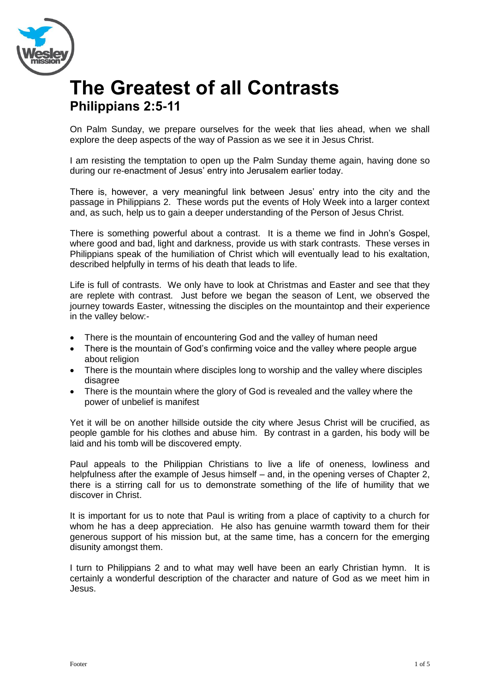

## **The Greatest of all Contrasts Philippians 2:5-11**

On Palm Sunday, we prepare ourselves for the week that lies ahead, when we shall explore the deep aspects of the way of Passion as we see it in Jesus Christ.

I am resisting the temptation to open up the Palm Sunday theme again, having done so during our re-enactment of Jesus' entry into Jerusalem earlier today.

There is, however, a very meaningful link between Jesus' entry into the city and the passage in Philippians 2. These words put the events of Holy Week into a larger context and, as such, help us to gain a deeper understanding of the Person of Jesus Christ.

There is something powerful about a contrast. It is a theme we find in John's Gospel, where good and bad, light and darkness, provide us with stark contrasts. These verses in Philippians speak of the humiliation of Christ which will eventually lead to his exaltation, described helpfully in terms of his death that leads to life.

Life is full of contrasts. We only have to look at Christmas and Easter and see that they are replete with contrast. Just before we began the season of Lent, we observed the journey towards Easter, witnessing the disciples on the mountaintop and their experience in the valley below:-

- There is the mountain of encountering God and the valley of human need
- There is the mountain of God's confirming voice and the valley where people argue about religion
- There is the mountain where disciples long to worship and the valley where disciples disagree
- There is the mountain where the glory of God is revealed and the valley where the power of unbelief is manifest

Yet it will be on another hillside outside the city where Jesus Christ will be crucified, as people gamble for his clothes and abuse him. By contrast in a garden, his body will be laid and his tomb will be discovered empty.

Paul appeals to the Philippian Christians to live a life of oneness, lowliness and helpfulness after the example of Jesus himself – and, in the opening verses of Chapter 2, there is a stirring call for us to demonstrate something of the life of humility that we discover in Christ.

It is important for us to note that Paul is writing from a place of captivity to a church for whom he has a deep appreciation. He also has genuine warmth toward them for their generous support of his mission but, at the same time, has a concern for the emerging disunity amongst them.

I turn to Philippians 2 and to what may well have been an early Christian hymn. It is certainly a wonderful description of the character and nature of God as we meet him in Jesus.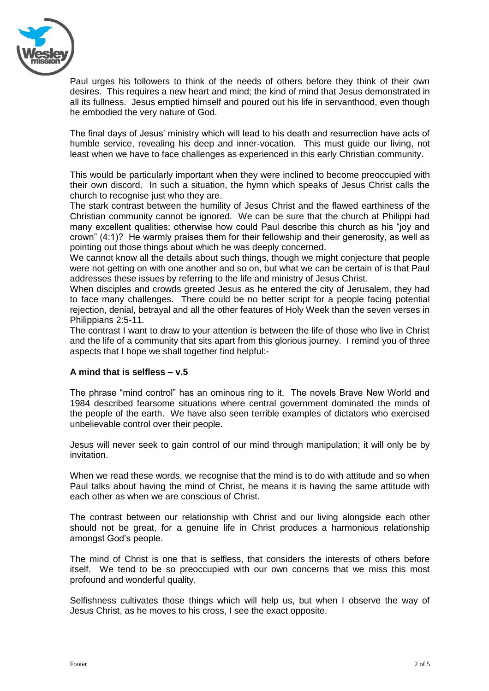

Paul urges his followers to think of the needs of others before they think of their own desires. This requires a new heart and mind; the kind of mind that Jesus demonstrated in all its fullness. Jesus emptied himself and poured out his life in servanthood, even though he embodied the very nature of God.

The final days of Jesus' ministry which will lead to his death and resurrection have acts of humble service, revealing his deep and inner-vocation. This must guide our living, not least when we have to face challenges as experienced in this early Christian community.

This would be particularly important when they were inclined to become preoccupied with their own discord. In such a situation, the hymn which speaks of Jesus Christ calls the church to recognise just who they are.

The stark contrast between the humility of Jesus Christ and the flawed earthiness of the Christian community cannot be ignored. We can be sure that the church at Philippi had many excellent qualities; otherwise how could Paul describe this church as his "joy and crown" (4:1)? He warmly praises them for their fellowship and their generosity, as well as pointing out those things about which he was deeply concerned.

We cannot know all the details about such things, though we might conjecture that people were not getting on with one another and so on, but what we can be certain of is that Paul addresses these issues by referring to the life and ministry of Jesus Christ.

When disciples and crowds greeted Jesus as he entered the city of Jerusalem, they had to face many challenges. There could be no better script for a people facing potential rejection, denial, betrayal and all the other features of Holy Week than the seven verses in Philippians 2:5-11.

The contrast I want to draw to your attention is between the life of those who live in Christ and the life of a community that sits apart from this glorious journey. I remind you of three aspects that I hope we shall together find helpful:-

## **A mind that is selfless – v.5**

The phrase "mind control" has an ominous ring to it. The novels Brave New World and 1984 described fearsome situations where central government dominated the minds of the people of the earth. We have also seen terrible examples of dictators who exercised unbelievable control over their people.

Jesus will never seek to gain control of our mind through manipulation; it will only be by invitation.

When we read these words, we recognise that the mind is to do with attitude and so when Paul talks about having the mind of Christ, he means it is having the same attitude with each other as when we are conscious of Christ.

The contrast between our relationship with Christ and our living alongside each other should not be great, for a genuine life in Christ produces a harmonious relationship amongst God's people.

The mind of Christ is one that is selfless, that considers the interests of others before itself. We tend to be so preoccupied with our own concerns that we miss this most profound and wonderful quality.

Selfishness cultivates those things which will help us, but when I observe the way of Jesus Christ, as he moves to his cross, I see the exact opposite.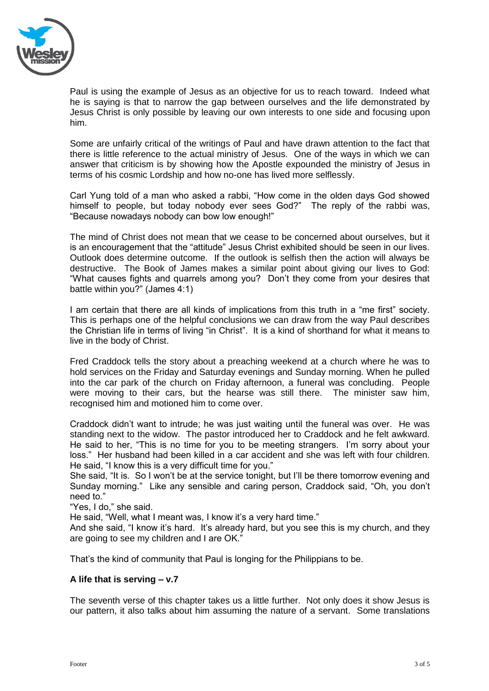

Paul is using the example of Jesus as an objective for us to reach toward. Indeed what he is saying is that to narrow the gap between ourselves and the life demonstrated by Jesus Christ is only possible by leaving our own interests to one side and focusing upon him.

Some are unfairly critical of the writings of Paul and have drawn attention to the fact that there is little reference to the actual ministry of Jesus. One of the ways in which we can answer that criticism is by showing how the Apostle expounded the ministry of Jesus in terms of his cosmic Lordship and how no-one has lived more selflessly.

Carl Yung told of a man who asked a rabbi, "How come in the olden days God showed himself to people, but today nobody ever sees God?" The reply of the rabbi was, "Because nowadays nobody can bow low enough!"

The mind of Christ does not mean that we cease to be concerned about ourselves, but it is an encouragement that the "attitude" Jesus Christ exhibited should be seen in our lives. Outlook does determine outcome. If the outlook is selfish then the action will always be destructive. The Book of James makes a similar point about giving our lives to God: "What causes fights and quarrels among you? Don't they come from your desires that battle within you?" (James 4:1)

I am certain that there are all kinds of implications from this truth in a "me first" society. This is perhaps one of the helpful conclusions we can draw from the way Paul describes the Christian life in terms of living "in Christ". It is a kind of shorthand for what it means to live in the body of Christ.

Fred Craddock tells the story about a preaching weekend at a church where he was to hold services on the Friday and Saturday evenings and Sunday morning. When he pulled into the car park of the church on Friday afternoon, a funeral was concluding. People were moving to their cars, but the hearse was still there. The minister saw him, recognised him and motioned him to come over.

Craddock didn't want to intrude; he was just waiting until the funeral was over. He was standing next to the widow. The pastor introduced her to Craddock and he felt awkward. He said to her, "This is no time for you to be meeting strangers. I'm sorry about your loss." Her husband had been killed in a car accident and she was left with four children. He said, "I know this is a very difficult time for you."

She said, "It is. So I won't be at the service tonight, but I'll be there tomorrow evening and Sunday morning." Like any sensible and caring person, Craddock said, "Oh, you don't need to."

"Yes, I do," she said.

He said, "Well, what I meant was, I know it's a very hard time."

And she said, "I know it's hard. It's already hard, but you see this is my church, and they are going to see my children and I are OK."

That's the kind of community that Paul is longing for the Philippians to be.

## **A life that is serving – v.7**

The seventh verse of this chapter takes us a little further. Not only does it show Jesus is our pattern, it also talks about him assuming the nature of a servant. Some translations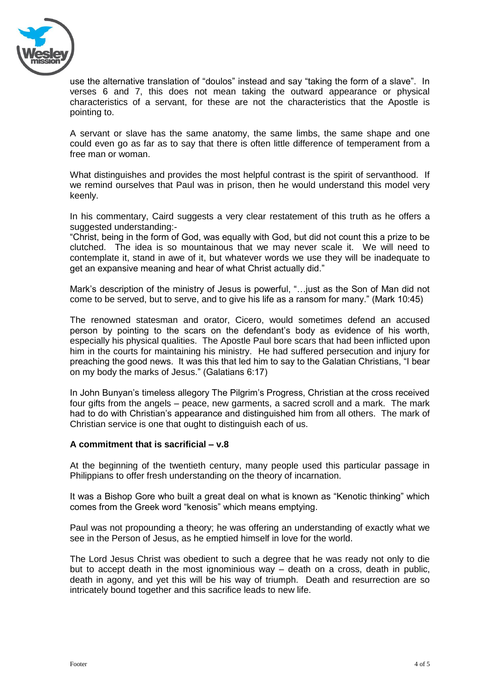

use the alternative translation of "doulos" instead and say "taking the form of a slave". In verses 6 and 7, this does not mean taking the outward appearance or physical characteristics of a servant, for these are not the characteristics that the Apostle is pointing to.

A servant or slave has the same anatomy, the same limbs, the same shape and one could even go as far as to say that there is often little difference of temperament from a free man or woman.

What distinguishes and provides the most helpful contrast is the spirit of servanthood. If we remind ourselves that Paul was in prison, then he would understand this model very keenly.

In his commentary, Caird suggests a very clear restatement of this truth as he offers a suggested understanding:-

"Christ, being in the form of God, was equally with God, but did not count this a prize to be clutched. The idea is so mountainous that we may never scale it. We will need to contemplate it, stand in awe of it, but whatever words we use they will be inadequate to get an expansive meaning and hear of what Christ actually did."

Mark's description of the ministry of Jesus is powerful, "…just as the Son of Man did not come to be served, but to serve, and to give his life as a ransom for many." (Mark 10:45)

The renowned statesman and orator, Cicero, would sometimes defend an accused person by pointing to the scars on the defendant's body as evidence of his worth, especially his physical qualities. The Apostle Paul bore scars that had been inflicted upon him in the courts for maintaining his ministry. He had suffered persecution and injury for preaching the good news. It was this that led him to say to the Galatian Christians, "I bear on my body the marks of Jesus." (Galatians 6:17)

In John Bunyan's timeless allegory The Pilgrim's Progress, Christian at the cross received four gifts from the angels – peace, new garments, a sacred scroll and a mark. The mark had to do with Christian's appearance and distinguished him from all others. The mark of Christian service is one that ought to distinguish each of us.

## **A commitment that is sacrificial – v.8**

At the beginning of the twentieth century, many people used this particular passage in Philippians to offer fresh understanding on the theory of incarnation.

It was a Bishop Gore who built a great deal on what is known as "Kenotic thinking" which comes from the Greek word "kenosis" which means emptying.

Paul was not propounding a theory; he was offering an understanding of exactly what we see in the Person of Jesus, as he emptied himself in love for the world.

The Lord Jesus Christ was obedient to such a degree that he was ready not only to die but to accept death in the most ignominious way – death on a cross, death in public, death in agony, and yet this will be his way of triumph. Death and resurrection are so intricately bound together and this sacrifice leads to new life.